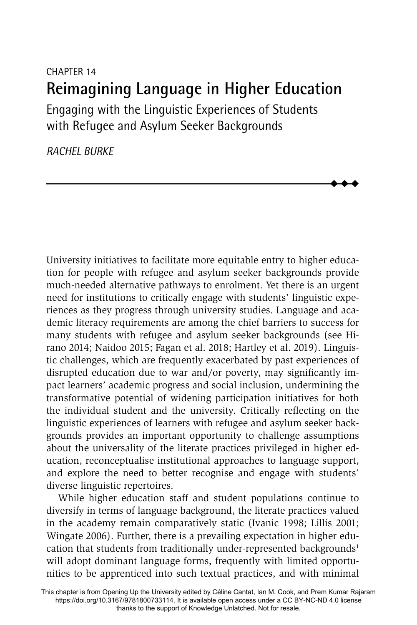# CHAPTER 14 **Reimagining Language in Higher Education** Engaging with the Linguistic Experiences of Students

 $\blacklozenge$  $\blacklozenge$  $\blacklozenge$ 

with Refugee and Asylum Seeker Backgrounds

*RACHEL BURKE*

University initiatives to facilitate more equitable entry to higher education for people with refugee and asylum seeker backgrounds provide much-needed alternative pathways to enrolment. Yet there is an urgent need for institutions to critically engage with students' linguistic experiences as they progress through university studies. Language and academic literacy requirements are among the chief barriers to success for many students with refugee and asylum seeker backgrounds (see Hirano 2014; Naidoo 2015; Fagan et al. 2018; Hartley et al. 2019). Linguistic challenges, which are frequently exacerbated by past experiences of disrupted education due to war and/or poverty, may significantly impact learners' academic progress and social inclusion, undermining the transformative potential of widening participation initiatives for both the individual student and the university. Critically reflecting on the linguistic experiences of learners with refugee and asylum seeker backgrounds provides an important opportunity to challenge assumptions about the universality of the literate practices privileged in higher education, reconceptualise institutional approaches to language support, and explore the need to better recognise and engage with students' diverse linguistic repertoires.

While higher education staff and student populations continue to diversify in terms of language background, the literate practices valued in the academy remain comparatively static (Ivanic 1998; Lillis 2001; Wingate 2006). Further, there is a prevailing expectation in higher education that students from traditionally under-represented backgrounds<sup>1</sup> will adopt dominant language forms, frequently with limited opportunities to be apprenticed into such textual practices, and with minimal

This chapter is from Opening Up the University edited by Céline Cantat, Ian M. Cook, and Prem Kumar Rajaram https://doi.org/10.3167/9781800733114. It is available open access under a CC BY-NC-ND 4.0 license thanks to the support of Knowledge Unlatched. Not for resale.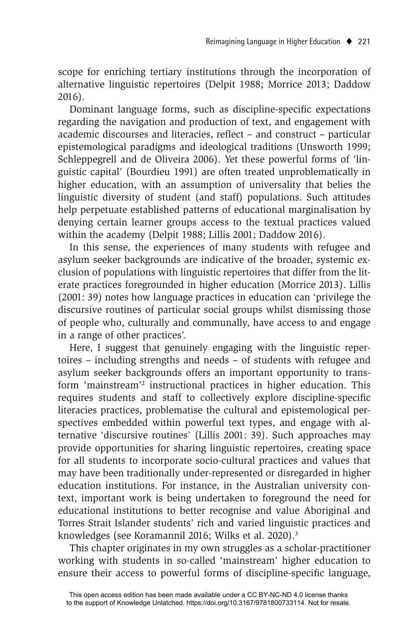scope for enriching tertiary institutions through the incorporation of alternative linguistic repertoires (Delpit 1988; Morrice 2013; Daddow 2016).

Dominant language forms, such as discipline-specific expectations regarding the navigation and production of text, and engagement with academic discourses and literacies, reflect - and construct - particular epistemological paradigms and ideological traditions (Unsworth 1999; Schleppegrell and de Oliveira 2006). Yet these powerful forms of 'linguistic capital' (Bourdieu 1991) are often treated unproblematically in higher education, with an assumption of universality that belies the linguistic diversity of student (and staff) populations. Such attitudes help perpetuate established patterns of educational marginalisation by denying certain learner groups access to the textual practices valued within the academy (Delpit 1988; Lillis 2001; Daddow 2016).

In this sense, the experiences of many students with refugee and asylum seeker backgrounds are indicative of the broader, systemic exclusion of populations with linguistic repertoires that differ from the literate practices foregrounded in higher education (Morrice 2013). Lillis (2001: 39) notes how language practices in education can 'privilege the discursive routines of particular social groups whilst dismissing those of people who, culturally and communally, have access to and engage in a range of other practices'.

Here, I suggest that genuinely engaging with the linguistic repertoires – including strengths and needs – of students with refugee and asylum seeker backgrounds offers an important opportunity to transform 'mainstream'2 instructional practices in higher education. This requires students and staff to collectively explore discipline-specific literacies practices, problematise the cultural and epistemological perspectives embedded within powerful text types, and engage with alternative 'discursive routines' (Lillis 2001: 39). Such approaches may provide opportunities for sharing linguistic repertoires, creating space for all students to incorporate socio-cultural practices and values that may have been traditionally under-represented or disregarded in higher education institutions. For instance, in the Australian university context, important work is being undertaken to foreground the need for educational institutions to better recognise and value Aboriginal and Torres Strait Islander students' rich and varied linguistic practices and knowledges (see Koramannil 2016; Wilks et al. 2020).3

This chapter originates in my own struggles as a scholar-practitioner working with students in so-called 'mainstream' higher education to ensure their access to powerful forms of discipline-specific language,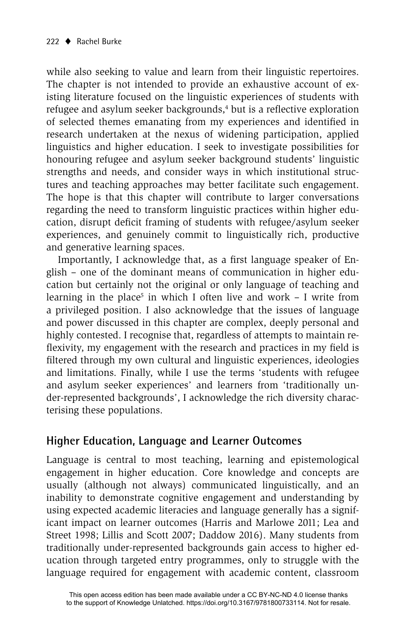while also seeking to value and learn from their linguistic repertoires. The chapter is not intended to provide an exhaustive account of existing literature focused on the linguistic experiences of students with refugee and asylum seeker backgrounds,<sup>4</sup> but is a reflective exploration of selected themes emanating from my experiences and identified in research undertaken at the nexus of widening participation, applied linguistics and higher education. I seek to investigate possibilities for honouring refugee and asylum seeker background students' linguistic strengths and needs, and consider ways in which institutional structures and teaching approaches may better facilitate such engagement. The hope is that this chapter will contribute to larger conversations regarding the need to transform linguistic practices within higher education, disrupt deficit framing of students with refugee/asylum seeker experiences, and genuinely commit to linguistically rich, productive and generative learning spaces.

Importantly, I acknowledge that, as a first language speaker of English – one of the dominant means of communication in higher education but certainly not the original or only language of teaching and learning in the place<sup>5</sup> in which I often live and work – I write from a privileged position. I also acknowledge that the issues of language and power discussed in this chapter are complex, deeply personal and highly contested. I recognise that, regardless of attempts to maintain reflexivity, my engagement with the research and practices in my field is filtered through my own cultural and linguistic experiences, ideologies and limitations. Finally, while I use the terms 'students with refugee and asylum seeker experiences' and learners from 'traditionally under-represented backgrounds', I acknowledge the rich diversity characterising these populations.

#### **Higher Education, Language and Learner Outcomes**

Language is central to most teaching, learning and epistemological engagement in higher education. Core knowledge and concepts are usually (although not always) communicated linguistically, and an inability to demonstrate cognitive engagement and understanding by using expected academic literacies and language generally has a significant impact on learner outcomes (Harris and Marlowe 2011; Lea and Street 1998; Lillis and Scott 2007; Daddow 2016). Many students from traditionally under-represented backgrounds gain access to higher education through targeted entry programmes, only to struggle with the language required for engagement with academic content, classroom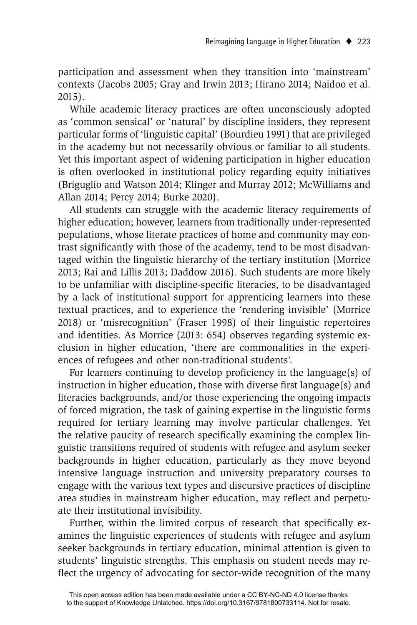participation and assessment when they transition into 'mainstream' contexts (Jacobs 2005; Gray and Irwin 2013; Hirano 2014; Naidoo et al. 2015).

While academic literacy practices are often unconsciously adopted as 'common sensical' or 'natural' by discipline insiders, they represent particular forms of 'linguistic capital' (Bourdieu 1991) that are privileged in the academy but not necessarily obvious or familiar to all students. Yet this important aspect of widening participation in higher education is often overlooked in institutional policy regarding equity initiatives (Briguglio and Watson 2014; Klinger and Murray 2012; McWilliams and Allan 2014; Percy 2014; Burke 2020).

All students can struggle with the academic literacy requirements of higher education; however, learners from traditionally under-represented populations, whose literate practices of home and community may contrast significantly with those of the academy, tend to be most disadvantaged within the linguistic hierarchy of the tertiary institution (Morrice 2013; Rai and Lillis 2013; Daddow 2016). Such students are more likely to be unfamiliar with discipline-specific literacies, to be disadvantaged by a lack of institutional support for apprenticing learners into these textual practices, and to experience the 'rendering invisible' (Morrice 2018) or 'misrecognition' (Fraser 1998) of their linguistic repertoires and identities. As Morrice (2013: 654) observes regarding systemic exclusion in higher education, 'there are commonalities in the experiences of refugees and other non-traditional students'.

For learners continuing to develop proficiency in the language $(s)$  of instruction in higher education, those with diverse first language $(s)$  and literacies backgrounds, and/or those experiencing the ongoing impacts of forced migration, the task of gaining expertise in the linguistic forms required for tertiary learning may involve particular challenges. Yet the relative paucity of research specifically examining the complex linguistic transitions required of students with refugee and asylum seeker backgrounds in higher education, particularly as they move beyond intensive language instruction and university preparatory courses to engage with the various text types and discursive practices of discipline area studies in mainstream higher education, may reflect and perpetuate their institutional invisibility.

Further, within the limited corpus of research that specifically examines the linguistic experiences of students with refugee and asylum seeker backgrounds in tertiary education, minimal attention is given to students' linguistic strengths. This emphasis on student needs may reflect the urgency of advocating for sector-wide recognition of the many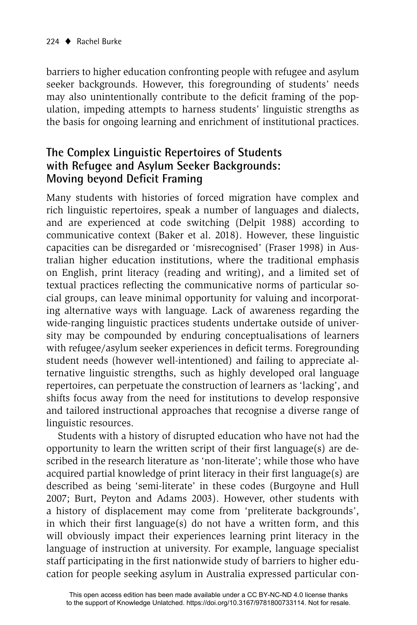barriers to higher education confronting people with refugee and asylum seeker backgrounds. However, this foregrounding of students' needs may also unintentionally contribute to the deficit framing of the population, impeding attempts to harness students' linguistic strengths as the basis for ongoing learning and enrichment of institutional practices.

## **The Complex Linguistic Repertoires of Students with Refugee and Asylum Seeker Backgrounds: Moving beyond Deficit Framing**

Many students with histories of forced migration have complex and rich linguistic repertoires, speak a number of languages and dialects, and are experienced at code switching (Delpit 1988) according to communicative context (Baker et al. 2018). However, these linguistic capacities can be disregarded or 'misrecognised' (Fraser 1998) in Australian higher education institutions, where the traditional emphasis on English, print literacy (reading and writing), and a limited set of textual practices reflecting the communicative norms of particular social groups, can leave minimal opportunity for valuing and incorporating alternative ways with language. Lack of awareness regarding the wide-ranging linguistic practices students undertake outside of university may be compounded by enduring conceptualisations of learners with refugee/asylum seeker experiences in deficit terms. Foregrounding student needs (however well-intentioned) and failing to appreciate alternative linguistic strengths, such as highly developed oral language repertoires, can perpetuate the construction of learners as 'lacking', and shifts focus away from the need for institutions to develop responsive and tailored instructional approaches that recognise a diverse range of linguistic resources.

Students with a history of disrupted education who have not had the opportunity to learn the written script of their first language(s) are described in the research literature as 'non-literate'; while those who have acquired partial knowledge of print literacy in their first language $(s)$  are described as being 'semi-literate' in these codes (Burgoyne and Hull 2007; Burt, Peyton and Adams 2003). However, other students with a history of displacement may come from 'preliterate backgrounds', in which their first language(s) do not have a written form, and this will obviously impact their experiences learning print literacy in the language of instruction at university. For example, language specialist staff participating in the first nationwide study of barriers to higher education for people seeking asylum in Australia expressed particular con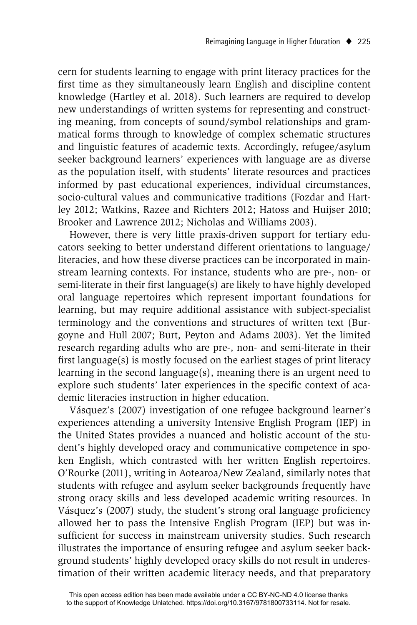cern for students learning to engage with print literacy practices for the first time as they simultaneously learn English and discipline content knowledge (Hartley et al. 2018). Such learners are required to develop new understandings of written systems for representing and constructing meaning, from concepts of sound/symbol relationships and grammatical forms through to knowledge of complex schematic structures and linguistic features of academic texts. Accordingly, refugee/asylum seeker background learners' experiences with language are as diverse as the population itself, with students' literate resources and practices informed by past educational experiences, individual circumstances, socio-cultural values and communicative traditions (Fozdar and Hartley 2012; Watkins, Razee and Richters 2012; Hatoss and Huijser 2010; Brooker and Lawrence 2012; Nicholas and Williams 2003).

However, there is very little praxis-driven support for tertiary educators seeking to better understand different orientations to language/ literacies, and how these diverse practices can be incorporated in mainstream learning contexts. For instance, students who are pre-, non- or semi-literate in their first language(s) are likely to have highly developed oral language repertoires which represent important foundations for learning, but may require additional assistance with subject-specialist terminology and the conventions and structures of written text (Burgoyne and Hull 2007; Burt, Peyton and Adams 2003). Yet the limited research regarding adults who are pre-, non- and semi-literate in their first language $(s)$  is mostly focused on the earliest stages of print literacy learning in the second language(s), meaning there is an urgent need to explore such students' later experiences in the specific context of academic literacies instruction in higher education.

Vásquez's (2007) investigation of one refugee background learner's experiences attending a university Intensive English Program (IEP) in the United States provides a nuanced and holistic account of the student's highly developed oracy and communicative competence in spoken English, which contrasted with her written English repertoires. O'Rourke (2011), writing in Aotearoa/New Zealand, similarly notes that students with refugee and asylum seeker backgrounds frequently have strong oracy skills and less developed academic writing resources. In Vásquez's (2007) study, the student's strong oral language proficiency allowed her to pass the Intensive English Program (IEP) but was insufficient for success in mainstream university studies. Such research illustrates the importance of ensuring refugee and asylum seeker background students' highly developed oracy skills do not result in underestimation of their written academic literacy needs, and that preparatory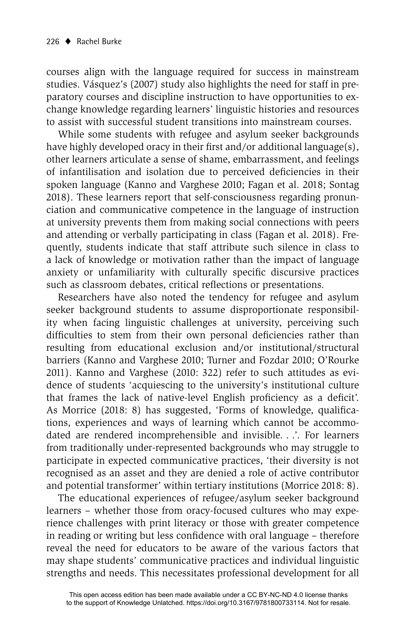courses align with the language required for success in mainstream studies. Vásquez's (2007) study also highlights the need for staff in preparatory courses and discipline instruction to have opportunities to exchange knowledge regarding learners' linguistic histories and resources to assist with successful student transitions into mainstream courses.

While some students with refugee and asylum seeker backgrounds have highly developed oracy in their first and/or additional language $(s)$ , other learners articulate a sense of shame, embarrassment, and feelings of infantilisation and isolation due to perceived deficiencies in their spoken language (Kanno and Varghese 2010; Fagan et al. 2018; Sontag 2018). These learners report that self-consciousness regarding pronunciation and communicative competence in the language of instruction at university prevents them from making social connections with peers and attending or verbally participating in class (Fagan et al. 2018). Frequently, students indicate that staff attribute such silence in class to a lack of knowledge or motivation rather than the impact of language anxiety or unfamiliarity with culturally specific discursive practices such as classroom debates, critical reflections or presentations.

Researchers have also noted the tendency for refugee and asylum seeker background students to assume disproportionate responsibility when facing linguistic challenges at university, perceiving such difficulties to stem from their own personal deficiencies rather than resulting from educational exclusion and/or institutional/structural barriers (Kanno and Varghese 2010; Turner and Fozdar 2010; O'Rourke 2011). Kanno and Varghese (2010: 322) refer to such attitudes as evidence of students 'acquiescing to the university's institutional culture that frames the lack of native-level English proficiency as a deficit'. As Morrice (2018: 8) has suggested, 'Forms of knowledge, qualifications, experiences and ways of learning which cannot be accommodated are rendered incomprehensible and invisible. . .'. For learners from traditionally under-represented backgrounds who may struggle to participate in expected communicative practices, 'their diversity is not recognised as an asset and they are denied a role of active contributor and potential transformer' within tertiary institutions (Morrice 2018: 8).

The educational experiences of refugee/asylum seeker background learners – whether those from oracy-focused cultures who may experience challenges with print literacy or those with greater competence in reading or writing but less confidence with oral language – therefore reveal the need for educators to be aware of the various factors that may shape students' communicative practices and individual linguistic strengths and needs. This necessitates professional development for all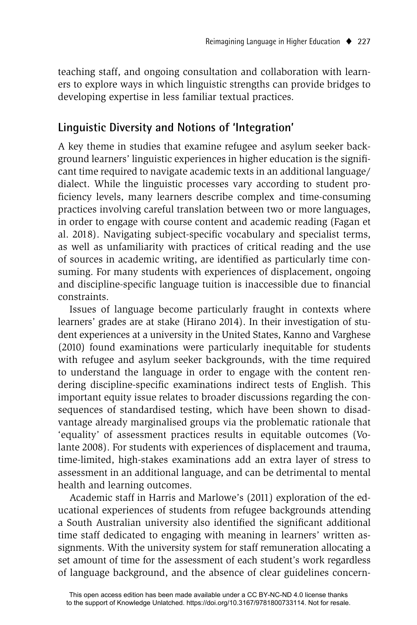teaching staff, and ongoing consultation and collaboration with learners to explore ways in which linguistic strengths can provide bridges to developing expertise in less familiar textual practices.

#### **Linguistic Diversity and Notions of 'Integration'**

A key theme in studies that examine refugee and asylum seeker background learners' linguistic experiences in higher education is the signifi cant time required to navigate academic texts in an additional language/ dialect. While the linguistic processes vary according to student proficiency levels, many learners describe complex and time-consuming practices involving careful translation between two or more languages, in order to engage with course content and academic reading (Fagan et al. 2018). Navigating subject-specific vocabulary and specialist terms, as well as unfamiliarity with practices of critical reading and the use of sources in academic writing, are identified as particularly time consuming. For many students with experiences of displacement, ongoing and discipline-specific language tuition is inaccessible due to financial constraints.

Issues of language become particularly fraught in contexts where learners' grades are at stake (Hirano 2014). In their investigation of student experiences at a university in the United States, Kanno and Varghese (2010) found examinations were particularly inequitable for students with refugee and asylum seeker backgrounds, with the time required to understand the language in order to engage with the content rendering discipline-specific examinations indirect tests of English. This important equity issue relates to broader discussions regarding the consequences of standardised testing, which have been shown to disadvantage already marginalised groups via the problematic rationale that 'equality' of assessment practices results in equitable outcomes (Volante 2008). For students with experiences of displacement and trauma, time-limited, high-stakes examinations add an extra layer of stress to assessment in an additional language, and can be detrimental to mental health and learning outcomes.

Academic staff in Harris and Marlowe's (2011) exploration of the educational experiences of students from refugee backgrounds attending a South Australian university also identified the significant additional time staff dedicated to engaging with meaning in learners' written assignments. With the university system for staff remuneration allocating a set amount of time for the assessment of each student's work regardless of language background, and the absence of clear guidelines concern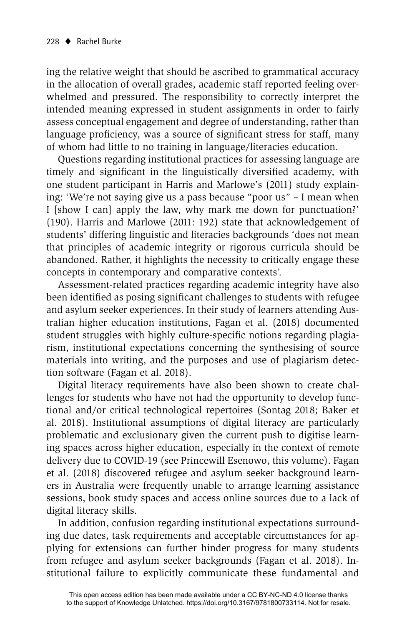ing the relative weight that should be ascribed to grammatical accuracy in the allocation of overall grades, academic staff reported feeling overwhelmed and pressured. The responsibility to correctly interpret the intended meaning expressed in student assignments in order to fairly assess conceptual engagement and degree of understanding, rather than language proficiency, was a source of significant stress for staff, many of whom had little to no training in language/literacies education.

Questions regarding institutional practices for assessing language are timely and significant in the linguistically diversified academy, with one student participant in Harris and Marlowe's (2011) study explaining: 'We're not saying give us a pass because "poor us" – I mean when I [show I can] apply the law, why mark me down for punctuation?' (190). Harris and Marlowe (2011: 192) state that acknowledgement of students' differing linguistic and literacies backgrounds 'does not mean that principles of academic integrity or rigorous curricula should be abandoned. Rather, it highlights the necessity to critically engage these concepts in contemporary and comparative contexts'.

Assessment-related practices regarding academic integrity have also been identified as posing significant challenges to students with refugee and asylum seeker experiences. In their study of learners attending Australian higher education institutions, Fagan et al. (2018) documented student struggles with highly culture-specific notions regarding plagiarism, institutional expectations concerning the synthesising of source materials into writing, and the purposes and use of plagiarism detection software (Fagan et al. 2018).

Digital literacy requirements have also been shown to create challenges for students who have not had the opportunity to develop functional and/or critical technological repertoires (Sontag 2018; Baker et al. 2018). Institutional assumptions of digital literacy are particularly problematic and exclusionary given the current push to digitise learning spaces across higher education, especially in the context of remote delivery due to COVID-19 (see Princewill Esenowo, this volume). Fagan et al. (2018) discovered refugee and asylum seeker background learners in Australia were frequently unable to arrange learning assistance sessions, book study spaces and access online sources due to a lack of digital literacy skills.

In addition, confusion regarding institutional expectations surrounding due dates, task requirements and acceptable circumstances for applying for extensions can further hinder progress for many students from refugee and asylum seeker backgrounds (Fagan et al. 2018). Institutional failure to explicitly communicate these fundamental and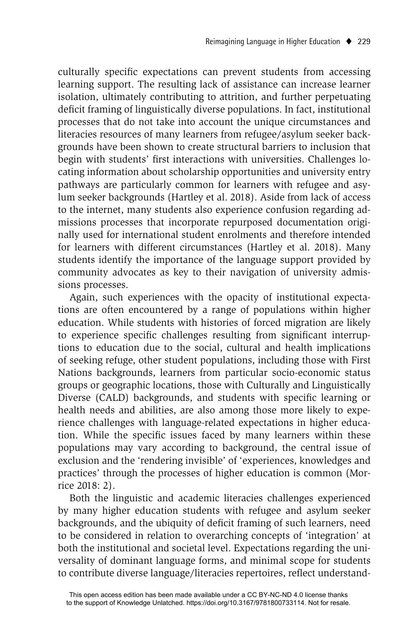culturally specific expectations can prevent students from accessing learning support. The resulting lack of assistance can increase learner isolation, ultimately contributing to attrition, and further perpetuating deficit framing of linguistically diverse populations. In fact, institutional processes that do not take into account the unique circumstances and literacies resources of many learners from refugee/asylum seeker backgrounds have been shown to create structural barriers to inclusion that begin with students' first interactions with universities. Challenges locating information about scholarship opportunities and university entry pathways are particularly common for learners with refugee and asylum seeker backgrounds (Hartley et al. 2018). Aside from lack of access to the internet, many students also experience confusion regarding admissions processes that incorporate repurposed documentation originally used for international student enrolments and therefore intended for learners with different circumstances (Hartley et al. 2018). Many students identify the importance of the language support provided by community advocates as key to their navigation of university admissions processes.

Again, such experiences with the opacity of institutional expectations are often encountered by a range of populations within higher education. While students with histories of forced migration are likely to experience specific challenges resulting from significant interruptions to education due to the social, cultural and health implications of seeking refuge, other student populations, including those with First Nations backgrounds, learners from particular socio-economic status groups or geographic locations, those with Culturally and Linguistically Diverse (CALD) backgrounds, and students with specific learning or health needs and abilities, are also among those more likely to experience challenges with language-related expectations in higher education. While the specific issues faced by many learners within these populations may vary according to background, the central issue of exclusion and the 'rendering invisible' of 'experiences, knowledges and practices' through the processes of higher education is common (Morrice 2018: 2).

Both the linguistic and academic literacies challenges experienced by many higher education students with refugee and asylum seeker backgrounds, and the ubiquity of deficit framing of such learners, need to be considered in relation to overarching concepts of 'integration' at both the institutional and societal level. Expectations regarding the universality of dominant language forms, and minimal scope for students to contribute diverse language/literacies repertoires, reflect understand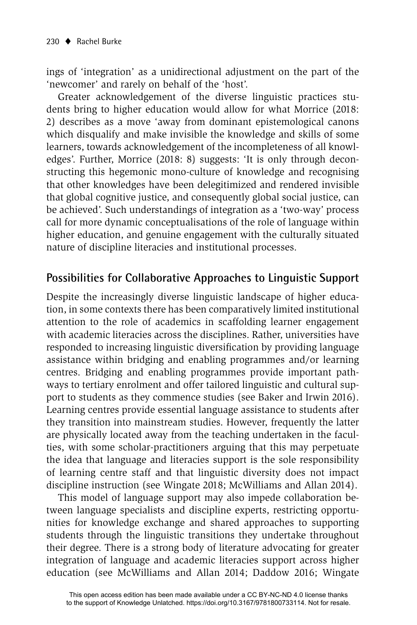ings of 'integration' as a unidirectional adjustment on the part of the 'newcomer' and rarely on behalf of the 'host'.

Greater acknowledgement of the diverse linguistic practices students bring to higher education would allow for what Morrice (2018: 2) describes as a move 'away from dominant epistemological canons which disqualify and make invisible the knowledge and skills of some learners, towards acknowledgement of the incompleteness of all knowledges'. Further, Morrice (2018: 8) suggests: 'It is only through deconstructing this hegemonic mono-culture of knowledge and recognising that other knowledges have been delegitimized and rendered invisible that global cognitive justice, and consequently global social justice, can be achieved'. Such understandings of integration as a 'two-way' process call for more dynamic conceptualisations of the role of language within higher education, and genuine engagement with the culturally situated nature of discipline literacies and institutional processes.

## **Possibilities for Collaborative Approaches to Linguistic Support**

Despite the increasingly diverse linguistic landscape of higher education, in some contexts there has been comparatively limited institutional attention to the role of academics in scaffolding learner engagement with academic literacies across the disciplines. Rather, universities have responded to increasing linguistic diversification by providing language assistance within bridging and enabling programmes and/or learning centres. Bridging and enabling programmes provide important pathways to tertiary enrolment and offer tailored linguistic and cultural support to students as they commence studies (see Baker and Irwin 2016). Learning centres provide essential language assistance to students after they transition into mainstream studies. However, frequently the latter are physically located away from the teaching undertaken in the faculties, with some scholar-practitioners arguing that this may perpetuate the idea that language and literacies support is the sole responsibility of learning centre staff and that linguistic diversity does not impact discipline instruction (see Wingate 2018; McWilliams and Allan 2014).

This model of language support may also impede collaboration between language specialists and discipline experts, restricting opportunities for knowledge exchange and shared approaches to supporting students through the linguistic transitions they undertake throughout their degree. There is a strong body of literature advocating for greater integration of language and academic literacies support across higher education (see McWilliams and Allan 2014; Daddow 2016; Wingate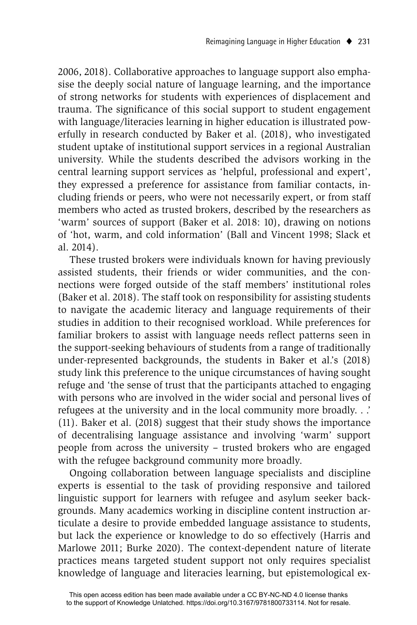2006, 2018). Collaborative approaches to language support also emphasise the deeply social nature of language learning, and the importance of strong networks for students with experiences of displacement and trauma. The significance of this social support to student engagement with language/literacies learning in higher education is illustrated powerfully in research conducted by Baker et al. (2018), who investigated student uptake of institutional support services in a regional Australian university. While the students described the advisors working in the central learning support services as 'helpful, professional and expert', they expressed a preference for assistance from familiar contacts, including friends or peers, who were not necessarily expert, or from staff members who acted as trusted brokers, described by the researchers as 'warm' sources of support (Baker et al. 2018: 10), drawing on notions of 'hot, warm, and cold information' (Ball and Vincent 1998; Slack et al. 2014).

These trusted brokers were individuals known for having previously assisted students, their friends or wider communities, and the connections were forged outside of the staff members' institutional roles (Baker et al. 2018). The staff took on responsibility for assisting students to navigate the academic literacy and language requirements of their studies in addition to their recognised workload. While preferences for familiar brokers to assist with language needs reflect patterns seen in the support-seeking behaviours of students from a range of traditionally under-represented backgrounds, the students in Baker et al.'s (2018) study link this preference to the unique circumstances of having sought refuge and 'the sense of trust that the participants attached to engaging with persons who are involved in the wider social and personal lives of refugees at the university and in the local community more broadly. . .' (11). Baker et al. (2018) suggest that their study shows the importance of decentralising language assistance and involving 'warm' support people from across the university – trusted brokers who are engaged with the refugee background community more broadly.

Ongoing collaboration between language specialists and discipline experts is essential to the task of providing responsive and tailored linguistic support for learners with refugee and asylum seeker backgrounds. Many academics working in discipline content instruction articulate a desire to provide embedded language assistance to students, but lack the experience or knowledge to do so effectively (Harris and Marlowe 2011; Burke 2020). The context-dependent nature of literate practices means targeted student support not only requires specialist knowledge of language and literacies learning, but epistemological ex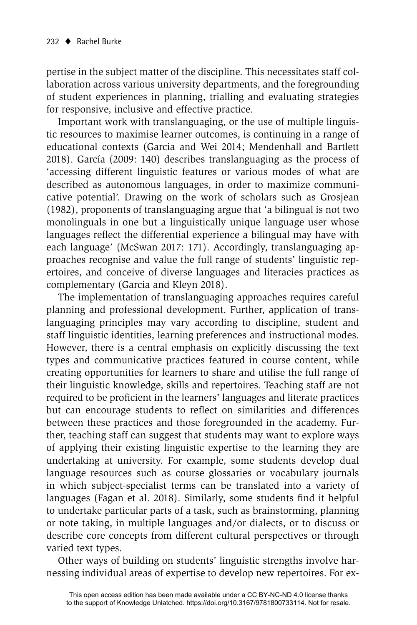pertise in the subject matter of the discipline. This necessitates staff collaboration across various university departments, and the foregrounding of student experiences in planning, trialling and evaluating strategies for responsive, inclusive and effective practice.

Important work with translanguaging, or the use of multiple linguistic resources to maximise learner outcomes, is continuing in a range of educational contexts (Garcia and Wei 2014; Mendenhall and Bartlett 2018). García (2009: 140) describes translanguaging as the process of 'accessing different linguistic features or various modes of what are described as autonomous languages, in order to maximize communicative potential'. Drawing on the work of scholars such as Grosjean (1982), proponents of translanguaging argue that 'a bilingual is not two monolinguals in one but a linguistically unique language user whose languages reflect the differential experience a bilingual may have with each language' (McSwan 2017: 171). Accordingly, translanguaging approaches recognise and value the full range of students' linguistic repertoires, and conceive of diverse languages and literacies practices as complementary (Garcia and Kleyn 2018).

The implementation of translanguaging approaches requires careful planning and professional development. Further, application of translanguaging principles may vary according to discipline, student and staff linguistic identities, learning preferences and instructional modes. However, there is a central emphasis on explicitly discussing the text types and communicative practices featured in course content, while creating opportunities for learners to share and utilise the full range of their linguistic knowledge, skills and repertoires. Teaching staff are not required to be proficient in the learners' languages and literate practices but can encourage students to reflect on similarities and differences between these practices and those foregrounded in the academy. Further, teaching staff can suggest that students may want to explore ways of applying their existing linguistic expertise to the learning they are undertaking at university. For example, some students develop dual language resources such as course glossaries or vocabulary journals in which subject-specialist terms can be translated into a variety of languages (Fagan et al. 2018). Similarly, some students find it helpful to undertake particular parts of a task, such as brainstorming, planning or note taking, in multiple languages and/or dialects, or to discuss or describe core concepts from different cultural perspectives or through varied text types.

Other ways of building on students' linguistic strengths involve harnessing individual areas of expertise to develop new repertoires. For ex-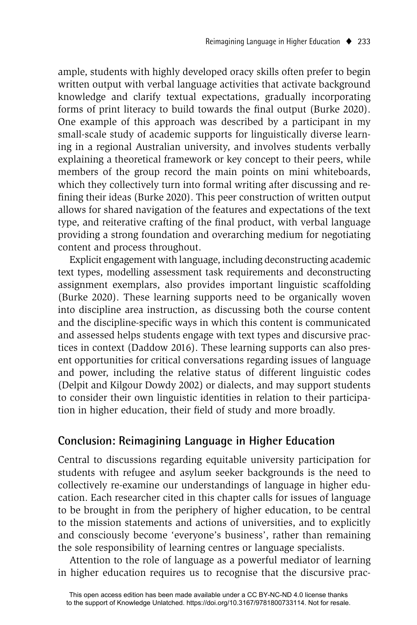ample, students with highly developed oracy skills often prefer to begin written output with verbal language activities that activate background knowledge and clarify textual expectations, gradually incorporating forms of print literacy to build towards the final output (Burke 2020). One example of this approach was described by a participant in my small-scale study of academic supports for linguistically diverse learning in a regional Australian university, and involves students verbally explaining a theoretical framework or key concept to their peers, while members of the group record the main points on mini whiteboards, which they collectively turn into formal writing after discussing and refining their ideas (Burke 2020). This peer construction of written output allows for shared navigation of the features and expectations of the text type, and reiterative crafting of the final product, with verbal language providing a strong foundation and overarching medium for negotiating content and process throughout.

Explicit engagement with language, including deconstructing academic text types, modelling assessment task requirements and deconstructing assignment exemplars, also provides important linguistic scaffolding (Burke 2020). These learning supports need to be organically woven into discipline area instruction, as discussing both the course content and the discipline-specific ways in which this content is communicated and assessed helps students engage with text types and discursive practices in context (Daddow 2016). These learning supports can also present opportunities for critical conversations regarding issues of language and power, including the relative status of different linguistic codes (Delpit and Kilgour Dowdy 2002) or dialects, and may support students to consider their own linguistic identities in relation to their participation in higher education, their field of study and more broadly.

#### **Conclusion: Reimagining Language in Higher Education**

Central to discussions regarding equitable university participation for students with refugee and asylum seeker backgrounds is the need to collectively re-examine our understandings of language in higher education. Each researcher cited in this chapter calls for issues of language to be brought in from the periphery of higher education, to be central to the mission statements and actions of universities, and to explicitly and consciously become 'everyone's business', rather than remaining the sole responsibility of learning centres or language specialists.

Attention to the role of language as a powerful mediator of learning in higher education requires us to recognise that the discursive prac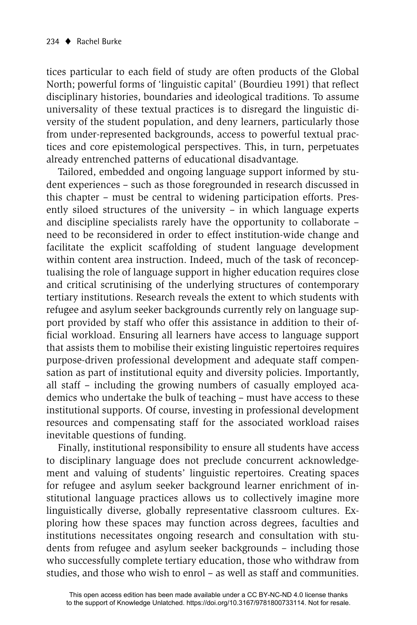tices particular to each field of study are often products of the Global North; powerful forms of 'linguistic capital' (Bourdieu 1991) that reflect disciplinary histories, boundaries and ideological traditions. To assume universality of these textual practices is to disregard the linguistic diversity of the student population, and deny learners, particularly those from under-represented backgrounds, access to powerful textual practices and core epistemological perspectives. This, in turn, perpetuates already entrenched patterns of educational disadvantage.

Tailored, embedded and ongoing language support informed by student experiences – such as those foregrounded in research discussed in this chapter – must be central to widening participation efforts. Presently siloed structures of the university – in which language experts and discipline specialists rarely have the opportunity to collaborate – need to be reconsidered in order to effect institution-wide change and facilitate the explicit scaffolding of student language development within content area instruction. Indeed, much of the task of reconceptualising the role of language support in higher education requires close and critical scrutinising of the underlying structures of contemporary tertiary institutions. Research reveals the extent to which students with refugee and asylum seeker backgrounds currently rely on language support provided by staff who offer this assistance in addition to their official workload. Ensuring all learners have access to language support that assists them to mobilise their existing linguistic repertoires requires purpose-driven professional development and adequate staff compensation as part of institutional equity and diversity policies. Importantly, all staff – including the growing numbers of casually employed academics who undertake the bulk of teaching – must have access to these institutional supports. Of course, investing in professional development resources and compensating staff for the associated workload raises inevitable questions of funding.

Finally, institutional responsibility to ensure all students have access to disciplinary language does not preclude concurrent acknowledgement and valuing of students' linguistic repertoires. Creating spaces for refugee and asylum seeker background learner enrichment of institutional language practices allows us to collectively imagine more linguistically diverse, globally representative classroom cultures. Exploring how these spaces may function across degrees, faculties and institutions necessitates ongoing research and consultation with students from refugee and asylum seeker backgrounds – including those who successfully complete tertiary education, those who withdraw from studies, and those who wish to enrol – as well as staff and communities.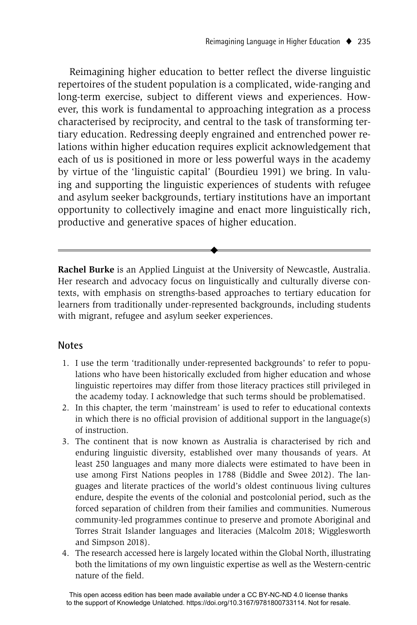Reimagining higher education to better reflect the diverse linguistic repertoires of the student population is a complicated, wide-ranging and long-term exercise, subject to different views and experiences. However, this work is fundamental to approaching integration as a process characterised by reciprocity, and central to the task of transforming tertiary education. Redressing deeply engrained and entrenched power relations within higher education requires explicit acknowledgement that each of us is positioned in more or less powerful ways in the academy by virtue of the 'linguistic capital' (Bourdieu 1991) we bring. In valuing and supporting the linguistic experiences of students with refugee and asylum seeker backgrounds, tertiary institutions have an important opportunity to collectively imagine and enact more linguistically rich, productive and generative spaces of higher education.

**Rachel Burke** is an Applied Linguist at the University of Newcastle, Australia. Her research and advocacy focus on linguistically and culturally diverse contexts, with emphasis on strengths-based approaches to tertiary education for learners from traditionally under-represented backgrounds, including students with migrant, refugee and asylum seeker experiences.

 $\ddot{\bullet}$ 

#### **Notes**

- 1. I use the term 'traditionally under-represented backgrounds' to refer to populations who have been historically excluded from higher education and whose linguistic repertoires may differ from those literacy practices still privileged in the academy today. I acknowledge that such terms should be problematised.
- 2. In this chapter, the term 'mainstream' is used to refer to educational contexts in which there is no official provision of additional support in the language(s) of instruction.
- 3. The continent that is now known as Australia is characterised by rich and enduring linguistic diversity, established over many thousands of years. At least 250 languages and many more dialects were estimated to have been in use among First Nations peoples in 1788 (Biddle and Swee 2012). The languages and literate practices of the world's oldest continuous living cultures endure, despite the events of the colonial and postcolonial period, such as the forced separation of children from their families and communities. Numerous community-led programmes continue to preserve and promote Aboriginal and Torres Strait Islander languages and literacies (Malcolm 2018; Wigglesworth and Simpson 2018).
- 4. The research accessed here is largely located within the Global North, illustrating both the limitations of my own linguistic expertise as well as the Western-centric nature of the field.

This open access edition has been made available under a CC BY-NC-ND 4.0 license thanks to the support of Knowledge Unlatched. https://doi.org/10.3167/9781800733114. Not for resale.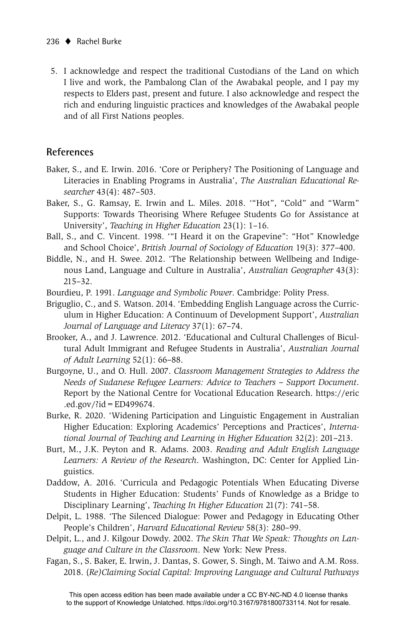5. I acknowledge and respect the traditional Custodians of the Land on which I live and work, the Pambalong Clan of the Awabakal people, and I pay my respects to Elders past, present and future. I also acknowledge and respect the rich and enduring linguistic practices and knowledges of the Awabakal people and of all First Nations peoples.

#### **References**

- Baker, S., and E. Irwin. 2016. 'Core or Periphery? The Positioning of Language and Literacies in Enabling Programs in Australia', *The Australian Educational Researcher* 43(4): 487–503.
- Baker, S., G. Ramsay, E. Irwin and L. Miles. 2018. '"Hot", "Cold" and "Warm" Supports: Towards Theorising Where Refugee Students Go for Assistance at University', *Teaching in Higher Education* 23(1): 1–16.
- Ball, S., and C. Vincent. 1998. '"I Heard it on the Grapevine": "Hot" Knowledge and School Choice', *British Journal of Sociology of Education* 19(3): 377–400.
- Biddle, N., and H. Swee. 2012. 'The Relationship between Wellbeing and Indigenous Land, Language and Culture in Australia', *Australian Geographer* 43(3): 215–32.
- Bourdieu, P. 1991. *Language and Symbolic Power*. Cambridge: Polity Press.
- Briguglio, C., and S. Watson. 2014. 'Embedding English Language across the Curriculum in Higher Education: A Continuum of Development Support', *Australian Journal of Language and Literacy* 37(1): 67–74.
- Brooker, A., and J. Lawrence. 2012. 'Educational and Cultural Challenges of Bicultural Adult Immigrant and Refugee Students in Australia', *Australian Journal of Adult Learning* 52(1): 66–88.
- Burgoyne, U., and O. Hull. 2007. *Classroom Management Strategies to Address the Needs of Sudanese Refugee Learners: Advice to Teachers – Support Document*. Report by the National Centre for Vocational Education Research. https://eric .ed.gov/?id=ED499674.
- Burke, R. 2020. 'Widening Participation and Linguistic Engagement in Australian Higher Education: Exploring Academics' Perceptions and Practices', *International Journal of Teaching and Learning in Higher Education* 32(2): 201–213.
- Burt, M., J.K. Peyton and R. Adams. 2003. *Reading and Adult English Language Learners: A Review of the Research*. Washington, DC: Center for Applied Linguistics.
- Daddow, A. 2016. 'Curricula and Pedagogic Potentials When Educating Diverse Students in Higher Education: Students' Funds of Knowledge as a Bridge to Disciplinary Learning', *Teaching In Higher Education* 21(7): 741–58.
- Delpit, L. 1988. 'The Silenced Dialogue: Power and Pedagogy in Educating Other People's Children', *Harvard Educational Review* 58(3): 280–99.
- Delpit, L., and J. Kilgour Dowdy. 2002. *The Skin That We Speak: Thoughts on Language and Culture in the Classroom*. New York: New Press.
- Fagan, S., S. Baker, E. Irwin, J. Dantas, S. Gower, S. Singh, M. Taiwo and A.M. Ross. 2018. (*Re)Claiming Social Capital: Improving Language and Cultural Pathways*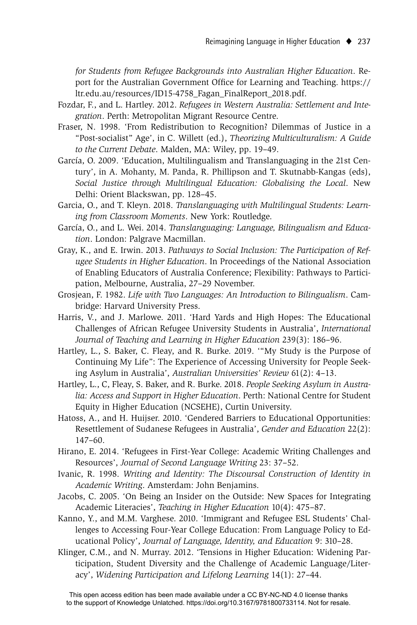*for Students from Refugee Backgrounds into Australian Higher Education*. Report for the Australian Government Office for Learning and Teaching. https:// ltr.edu.au/resources/ID15-4758\_Fagan\_FinalReport\_2018.pdf.

- Fozdar, F., and L. Hartley. 2012. *Refugees in Western Australia: Settlement and Integration*. Perth: Metropolitan Migrant Resource Centre.
- Fraser, N. 1998. 'From Redistribution to Recognition? Dilemmas of Justice in a "Post-socialist" Age', in C. Willett (ed.), *Theorizing Multiculturalism: A Guide to the Current Debate*. Malden, MA: Wiley, pp. 19–49.
- García, O. 2009. 'Education, Multilingualism and Translanguaging in the 21st Century', in A. Mohanty, M. Panda, R. Phillipson and T. Skutnabb-Kangas (eds), *Social Justice through Multilingual Education: Globalising the Local*. New Delhi: Orient Blackswan, pp. 128–45.
- Garcia, O., and T. Kleyn. 2018. *Translanguaging with Multilingual Students: Learning from Classroom Moments*. New York: Routledge.
- García, O., and L. Wei. 2014. *Translanguaging: Language, Bilingualism and Education*. London: Palgrave Macmillan.
- Gray, K., and E. Irwin. 2013. *Pathways to Social Inclusion: The Participation of Refugee Students in Higher Education*. In Proceedings of the National Association of Enabling Educators of Australia Conference; Flexibility: Pathways to Participation, Melbourne, Australia, 27–29 November.
- Grosjean, F. 1982. *Life with Two Languages: An Introduction to Bilingualism*. Cambridge: Harvard University Press.
- Harris, V., and J. Marlowe. 2011. 'Hard Yards and High Hopes: The Educational Challenges of African Refugee University Students in Australia', *International Journal of Teaching and Learning in Higher Education* 239(3): 186–96.
- Hartley, L., S. Baker, C. Fleay, and R. Burke. 2019. '"My Study is the Purpose of Continuing My Life": The Experience of Accessing University for People Seeking Asylum in Australia', *Australian Universities' Review* 61(2): 4–13.
- Hartley, L., C, Fleay, S. Baker, and R. Burke. 2018. *People Seeking Asylum in Australia: Access and Support in Higher Education*. Perth: National Centre for Student Equity in Higher Education (NCSEHE), Curtin University.
- Hatoss, A., and H. Huijser. 2010. 'Gendered Barriers to Educational Opportunities: Resettlement of Sudanese Refugees in Australia', *Gender and Education* 22(2): 147–60.
- Hirano, E. 2014. 'Refugees in First-Year College: Academic Writing Challenges and Resources', *Journal of Second Language Writing* 23: 37–52.
- Ivanic, R. 1998. *Writing and Identity: The Discoursal Construction of Identity in Academic Writing*. Amsterdam: John Benjamins.
- Jacobs, C. 2005. 'On Being an Insider on the Outside: New Spaces for Integrating Academic Literacies', *Teaching in Higher Education* 10(4): 475–87.
- Kanno, Y., and M.M. Varghese. 2010. 'Immigrant and Refugee ESL Students' Challenges to Accessing Four-Year College Education: From Language Policy to Educational Policy', *Journal of Language, Identity, and Education* 9: 310–28.
- Klinger, C.M., and N. Murray. 2012. 'Tensions in Higher Education: Widening Participation, Student Diversity and the Challenge of Academic Language/Literacy', *Widening Participation and Lifelong Learning* 14(1): 27–44.

This open access edition has been made available under a CC BY-NC-ND 4.0 license thanks to the support of Knowledge Unlatched. https://doi.org/10.3167/9781800733114. Not for resale.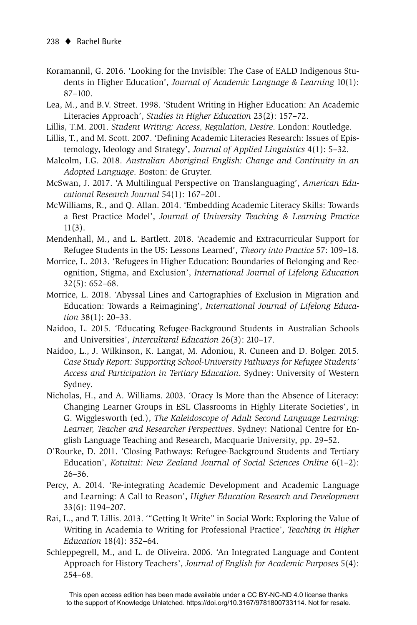- Koramannil, G. 2016. 'Looking for the Invisible: The Case of EALD Indigenous Students in Higher Education', *Journal of Academic Language & Learning* 10(1): 87–100.
- Lea, M., and B.V. Street. 1998. 'Student Writing in Higher Education: An Academic Literacies Approach', *Studies in Higher Education* 23(2): 157–72.
- Lillis, T.M. 2001. *Student Writing: Access, Regulation, Desire*. London: Routledge.
- Lillis, T., and M. Scott. 2007. 'Defining Academic Literacies Research: Issues of Epistemology, Ideology and Strategy', *Journal of Applied Linguistics* 4(1): 5–32.
- Malcolm, I.G. 2018. *Australian Aboriginal English: Change and Continuity in an Adopted Language*. Boston: de Gruyter.
- McSwan, J. 2017. 'A Multilingual Perspective on Translanguaging', *American Educational Research Journal* 54(1): 167–201.
- McWilliams, R., and Q. Allan. 2014. 'Embedding Academic Literacy Skills: Towards a Best Practice Model', *Journal of University Teaching & Learning Practice*  11(3).
- Mendenhall, M., and L. Bartlett. 2018. 'Academic and Extracurricular Support for Refugee Students in the US: Lessons Learned', *Theory into Practice* 57: 109–18.
- Morrice, L. 2013. 'Refugees in Higher Education: Boundaries of Belonging and Recognition, Stigma, and Exclusion', *International Journal of Lifelong Education* 32(5): 652–68.
- Morrice, L. 2018. 'Abyssal Lines and Cartographies of Exclusion in Migration and Education: Towards a Reimagining', *International Journal of Lifelong Education* 38(1): 20–33.
- Naidoo, L. 2015. 'Educating Refugee-Background Students in Australian Schools and Universities', *Intercultural Education* 26(3): 210–17.
- Naidoo, L., J. Wilkinson, K. Langat, M. Adoniou, R. Cuneen and D. Bolger. 2015. *Case Study Report: Supporting School-University Pathways for Refugee Students' Access and Participation in Tertiary Education*. Sydney: University of Western Sydney.
- Nicholas, H., and A. Williams. 2003. 'Oracy Is More than the Absence of Literacy: Changing Learner Groups in ESL Classrooms in Highly Literate Societies', in G. Wigglesworth (ed.), *The Kaleidoscope of Adult Second Language Learning: Learner, Teacher and Researcher Perspectives*. Sydney: National Centre for English Language Teaching and Research, Macquarie University, pp. 29–52.
- O'Rourke, D. 2011. 'Closing Pathways: Refugee-Background Students and Tertiary Education', *Kotuitui: New Zealand Journal of Social Sciences Online* 6(1–2): 26–36.
- Percy, A. 2014. 'Re-integrating Academic Development and Academic Language and Learning: A Call to Reason', *Higher Education Research and Development*  33(6): 1194–207.
- Rai, L., and T. Lillis. 2013. '"Getting It Write" in Social Work: Exploring the Value of Writing in Academia to Writing for Professional Practice', *Teaching in Higher Education* 18(4): 352–64.
- Schleppegrell, M., and L. de Oliveira. 2006. 'An Integrated Language and Content Approach for History Teachers', *Journal of English for Academic Purposes* 5(4): 254–68.